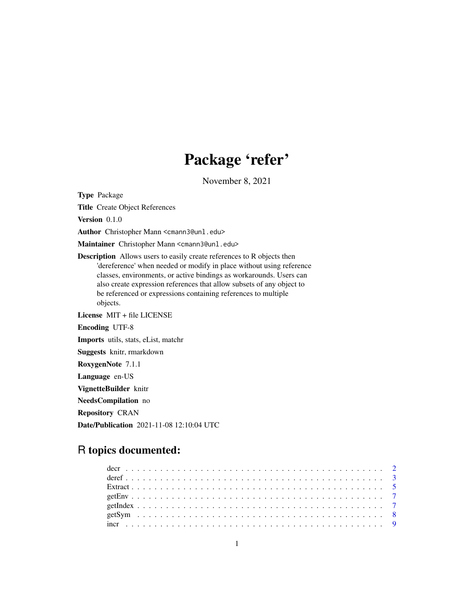# Package 'refer'

November 8, 2021

<span id="page-0-0"></span>Type Package

Title Create Object References

Version 0.1.0

Author Christopher Mann <cmann3@unl.edu>

Maintainer Christopher Mann <cmann3@unl.edu>

Description Allows users to easily create references to R objects then 'dereference' when needed or modify in place without using reference classes, environments, or active bindings as workarounds. Users can also create expression references that allow subsets of any object to be referenced or expressions containing references to multiple objects.

License MIT + file LICENSE Encoding UTF-8 Imports utils, stats, eList, matchr Suggests knitr, rmarkdown RoxygenNote 7.1.1 Language en-US VignetteBuilder knitr

NeedsCompilation no

Repository CRAN

Date/Publication 2021-11-08 12:10:04 UTC

## R topics documented:

| $\frac{1}{2}$ increases and contract the contract of the contract of the contract of $\frac{9}{2}$ |  |
|----------------------------------------------------------------------------------------------------|--|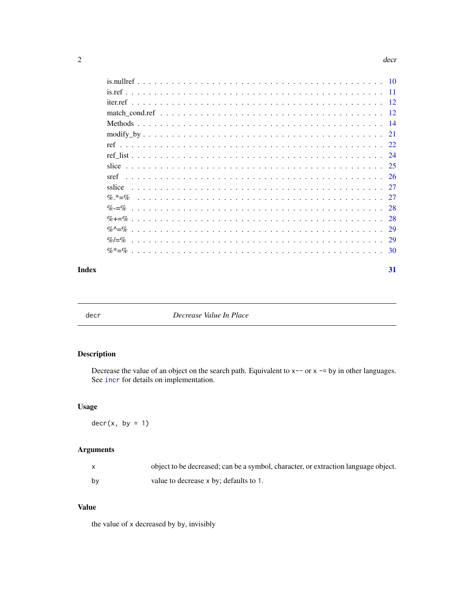#### 2 decree and  $\alpha$  decree and  $\alpha$  decree and  $\alpha$  decree and  $\alpha$  decree and  $\alpha$  decree and  $\alpha$  decree and  $\alpha$  decree and  $\alpha$  decree and  $\alpha$  decree and  $\alpha$  decree and  $\alpha$  decree and  $\alpha$  decree and  $\alpha$  decree and

#### **Index** [31](#page-30-0)

<span id="page-1-1"></span>

decr *Decrease Value In Place*

## Description

Decrease the value of an object on the search path. Equivalent to  $x$ -- or  $x$  -= by in other languages. See [incr](#page-8-1) for details on implementation.

## Usage

 $decr(x, by = 1)$ 

## Arguments

|    | object to be decreased; can be a symbol, character, or extraction language object. |
|----|------------------------------------------------------------------------------------|
| by | value to decrease x by; defaults to 1.                                             |

## Value

the value of x decreased by by, invisibly

<span id="page-1-0"></span>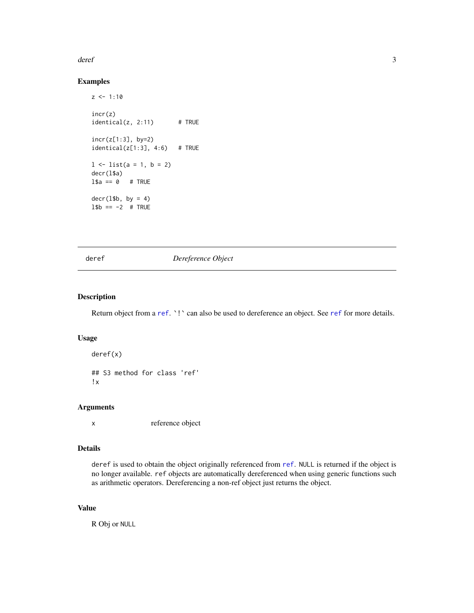#### <span id="page-2-0"></span>deref 3

## Examples

```
z \le -1:10incr(z)
identical(z, 2:11) # TRUE
incr(z[1:3], by=2)
identical(z[1:3], 4:6) # TRUE
1 \leftarrow list(a = 1, b = 2)
decr(l$a)
1$a == 0 # TRUE
decr(1$b, by = 4)
1$b == -2 # TRUE
```
<span id="page-2-1"></span>

deref *Dereference Object*

#### Description

Return object from a [ref](#page-21-1). `!` can also be used to dereference an object. See ref for more details.

## Usage

deref(x) ## S3 method for class 'ref' !x

## Arguments

x reference object

## Details

deref is used to obtain the object originally referenced from [ref](#page-21-1). NULL is returned if the object is no longer available. ref objects are automatically dereferenced when using generic functions such as arithmetic operators. Dereferencing a non-ref object just returns the object.

## Value

R Obj or NULL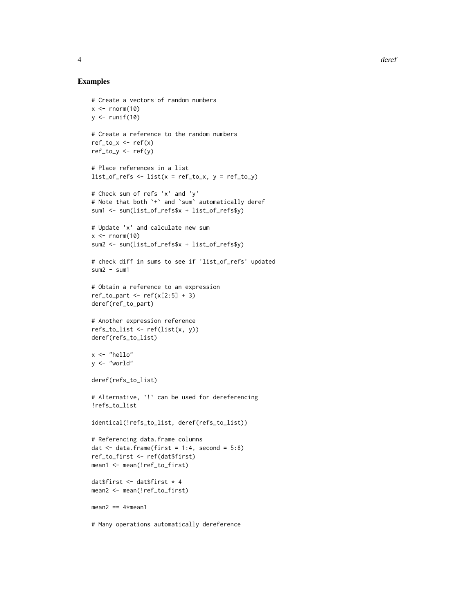#### Examples

```
# Create a vectors of random numbers
x \leq -rnorm(10)y \leftarrow runif(10)# Create a reference to the random numbers
ref_to_x \leftarrow ref(x)ref\_to_y \leftarrow ref(y)# Place references in a list
list_of_refs \leftarrow list(x = ref_to_x, y = ref_to_y)# Check sum of refs 'x' and 'y'
# Note that both `+` and `sum` automatically deref
sum1 <- sum(list_of_refs$x + list_of_refs$y)
# Update 'x' and calculate new sum
x \le - rnorm(10)
sum2 <- sum(list_of_refs$x + list_of_refs$y)
# check diff in sums to see if 'list_of_refs' updated
sum2 - sum1# Obtain a reference to an expression
ref_to_part \leftarrow ref(x[2:5] + 3)deref(ref_to_part)
# Another expression reference
refs_to_list <- ref(list(x, y))
deref(refs_to_list)
x <- "hello"
y <- "world"
deref(refs_to_list)
# Alternative, `!` can be used for dereferencing
!refs_to_list
identical(!refs_to_list, deref(refs_to_list))
# Referencing data.frame columns
dat \le data.frame(first = 1:4, second = 5:8)
ref_to_first <- ref(dat$first)
mean1 <- mean(!ref_to_first)
dat$first <- dat$first * 4
mean2 <- mean(!ref_to_first)
mean2 == 4*mean1
```
# Many operations automatically dereference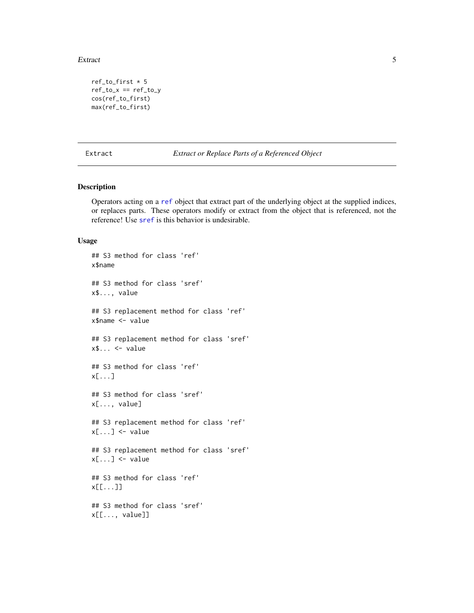#### <span id="page-4-0"></span>Extract 5 and 5 and 5 and 5 and 5 and 5 and 5 and 5 and 5 and 5 and 5 and 5 and 5 and 5 and 5 and 5 and 5 and 5 and 5 and 5 and 5 and 5 and 5 and 5 and 5 and 5 and 5 and 5 and 5 and 5 and 5 and 5 and 5 and 5 and 5 and 5 an

```
ref\_to\_first * 5ref\_to_x == ref\_to_ycos(ref_to_first)
max(ref_to_first)
```
<span id="page-4-1"></span>Extract *Extract or Replace Parts of a Referenced Object*

## Description

Operators acting on a [ref](#page-21-1) object that extract part of the underlying object at the supplied indices, or replaces parts. These operators modify or extract from the object that is referenced, not the reference! Use [sref](#page-25-1) is this behavior is undesirable.

#### Usage

```
## S3 method for class 'ref'
x$name
## S3 method for class 'sref'
x$..., value
## S3 replacement method for class 'ref'
x$name <- value
## S3 replacement method for class 'sref'
x$... \leq value
## S3 method for class 'ref'
x[...]
## S3 method for class 'sref'
x[..., value]
## S3 replacement method for class 'ref'
x[\ldots] <- value
## S3 replacement method for class 'sref'
x[\ldots] <- value
## S3 method for class 'ref'
x[[...]]
## S3 method for class 'sref'
x[[..., value]]
```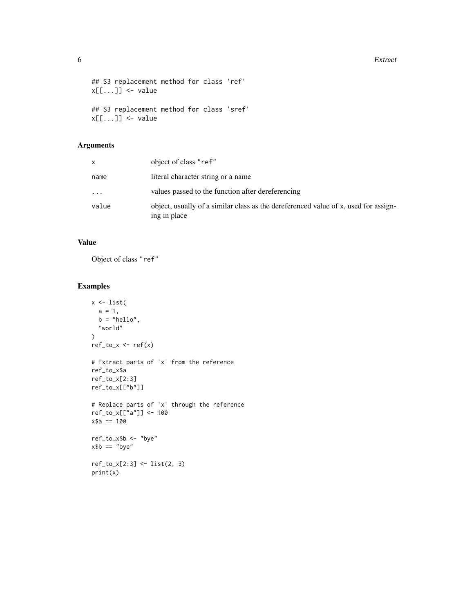#### **6** Extract

```
## S3 replacement method for class 'ref'
x[[...]] <- value
## S3 replacement method for class 'sref'
x[[...]] <- value
```
## Arguments

|       | object of class "ref"                                                                               |
|-------|-----------------------------------------------------------------------------------------------------|
| name  | literal character string or a name                                                                  |
| .     | values passed to the function after dereferencing                                                   |
| value | object, usually of a similar class as the dereferenced value of x, used for assign-<br>ing in place |

## Value

Object of class "ref"

```
x \leftarrow list(
 a = 1,b = "hello",
  "world"
\mathcal{L}ref_to_x <- ref(x)
# Extract parts of 'x' from the reference
ref_to_x$a
ref_to_x[2:3]
ref_to_x[["b"]]
# Replace parts of 'x' through the reference
ref_to_x[["a"]] <- 100
x$a == 100
ref_to_x$b <- "bye"
x$b == "bye"
ref_to_x[2:3] <- list(2, 3)
print(x)
```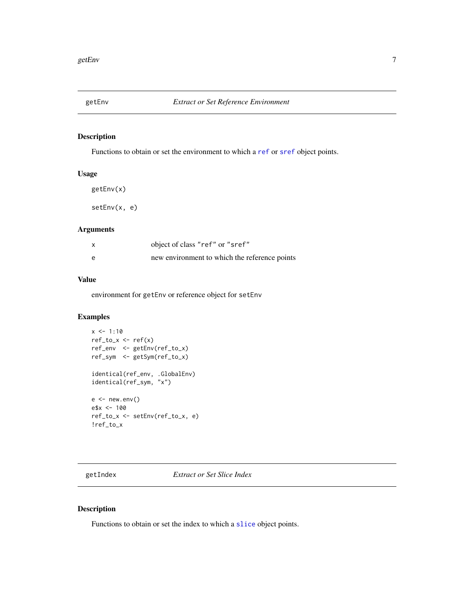<span id="page-6-0"></span>

Functions to obtain or set the environment to which a [ref](#page-21-1) or [sref](#page-25-1) object points.

## Usage

getEnv(x)

setEnv(x, e)

## Arguments

|   | object of class "ref" or "sref"               |
|---|-----------------------------------------------|
| A | new environment to which the reference points |

#### Value

environment for getEnv or reference object for setEnv

#### Examples

```
x \le -1:10ref_to_x \leftarrow ref(x)ref_env <- getEnv(ref_to_x)
ref_sym <- getSym(ref_to_x)
identical(ref_env, .GlobalEnv)
identical(ref_sym, "x")
e \leftarrow new . env()e$x <- 100
ref_to_x <- setEnv(ref_to_x, e)
!ref_to_x
```
getIndex *Extract or Set Slice Index*

## Description

Functions to obtain or set the index to which a [slice](#page-24-1) object points.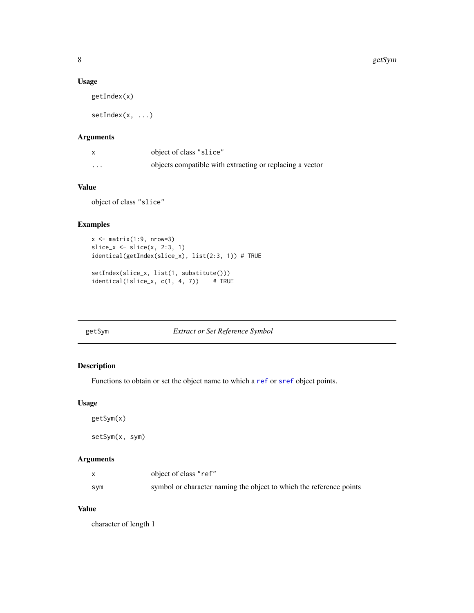#### <span id="page-7-0"></span>Usage

getIndex(x)

setIndex(x, ...)

## Arguments

|         | object of class "slice"                                  |
|---------|----------------------------------------------------------|
| $\cdot$ | objects compatible with extracting or replacing a vector |

## Value

object of class "slice"

#### Examples

```
x \leftarrow \text{matrix}(1:9, \text{ nrow=3})slice_x \leftarrow slice(x, 2:3, 1)
identical(getIndex(slice_x), list(2:3, 1)) # TRUE
setIndex(slice_x, list(1, substitute()))
identical(!slice_x, c(1, 4, 7)) # TRUE
```
getSym *Extract or Set Reference Symbol*

## Description

Functions to obtain or set the object name to which a [ref](#page-21-1) or [sref](#page-25-1) object points.

## Usage

getSym(x)

setSym(x, sym)

## Arguments

| X   | object of class "ref"                                               |
|-----|---------------------------------------------------------------------|
| sym | symbol or character naming the object to which the reference points |

## Value

character of length 1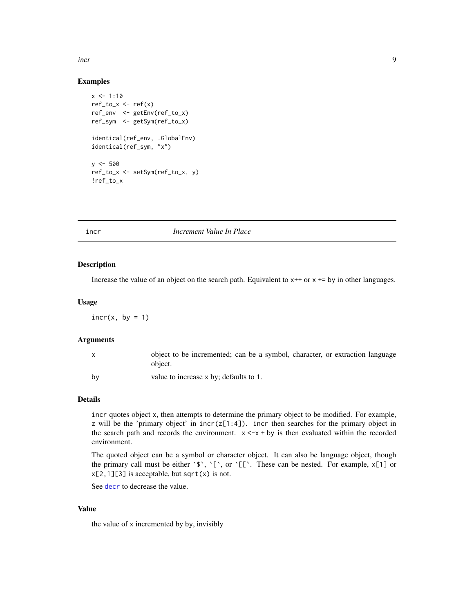<span id="page-8-0"></span>incr **9** 

#### Examples

```
x \le -1:10ref_to_x \leftarrow ref(x)ref_env <- getEnv(ref_to_x)
ref_sym <- getSym(ref_to_x)
identical(ref_env, .GlobalEnv)
identical(ref_sym, "x")
y < -500ref_to_x <- setSym(ref_to_x, y)
!ref_to_x
```
<span id="page-8-1"></span>

#### incr *Increment Value In Place*

#### Description

Increase the value of an object on the search path. Equivalent to  $x++$  or  $x+=$  by in other languages.

## Usage

 $incr(x, by = 1)$ 

#### Arguments

|    | object to be incremented; can be a symbol, character, or extraction language<br>object. |
|----|-----------------------------------------------------------------------------------------|
| bv | value to increase x by; defaults to 1.                                                  |

## Details

incr quotes object x, then attempts to determine the primary object to be modified. For example, z will be the 'primary object' in  $inc(z[1:4])$ . incr then searches for the primary object in the search path and records the environment.  $x \leq -x + by$  is then evaluated within the recorded environment.

The quoted object can be a symbol or character object. It can also be language object, though the primary call must be either  $\hat{S}$ ,  $[\hat{C}, \hat{C}]$ . These can be nested. For example,  $x[1]$  or  $x[2,1][3]$  is acceptable, but sqrt(x) is not.

See [decr](#page-1-1) to decrease the value.

#### Value

the value of x incremented by by, invisibly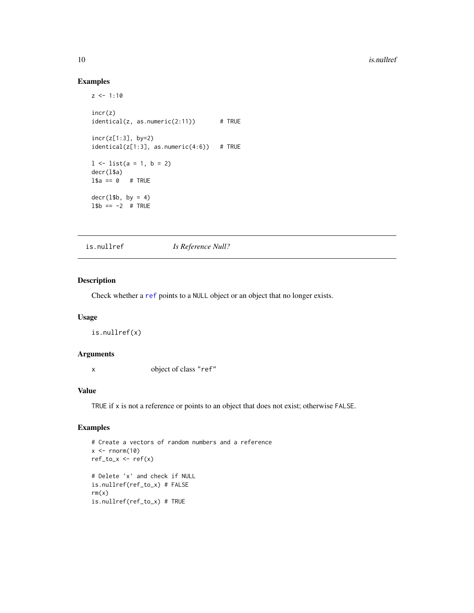<span id="page-9-0"></span>10 is.nullref

## Examples

```
z \le -1:10incr(z)
identical(z, as.numeric(2:11)) # TRUE
incr(z[1:3], by=2)
identical(z[1:3], as.numeric(4:6)) # TRUE
1 \leftarrow list(a = 1, b = 2)
decr(l$a)
1$a == 0 # TRUE
decr(1$b, by = 4)
1$b == -2 # TRUE
```
is.nullref *Is Reference Null?*

## Description

Check whether a [ref](#page-21-1) points to a NULL object or an object that no longer exists.

## Usage

is.nullref(x)

#### Arguments

x object of class "ref"

#### Value

TRUE if x is not a reference or points to an object that does not exist; otherwise FALSE.

```
# Create a vectors of random numbers and a reference
x \leftarrow \text{norm}(10)ref\_to_x \leftarrow ref(x)# Delete 'x' and check if NULL
is.nullref(ref_to_x) # FALSE
rm(x)is.nullref(ref_to_x) # TRUE
```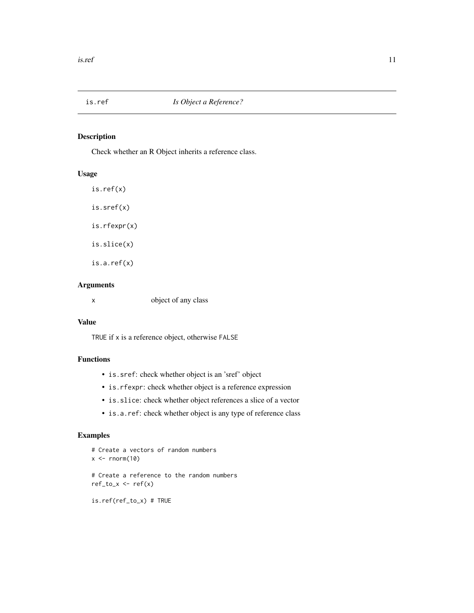<span id="page-10-0"></span>

Check whether an R Object inherits a reference class.

## Usage

is.ref(x) is.sref(x) is.rfexpr(x) is.slice(x) is.a.ref(x)

## Arguments

x object of any class

## Value

TRUE if x is a reference object, otherwise FALSE

## Functions

- is.sref: check whether object is an 'sref' object
- is.rfexpr: check whether object is a reference expression
- is.slice: check whether object references a slice of a vector
- is.a.ref: check whether object is any type of reference class

```
# Create a vectors of random numbers
x < - rnorm(10)
# Create a reference to the random numbers
ref_to_x \leftarrow ref(x)is.ref(ref_to_x) # TRUE
```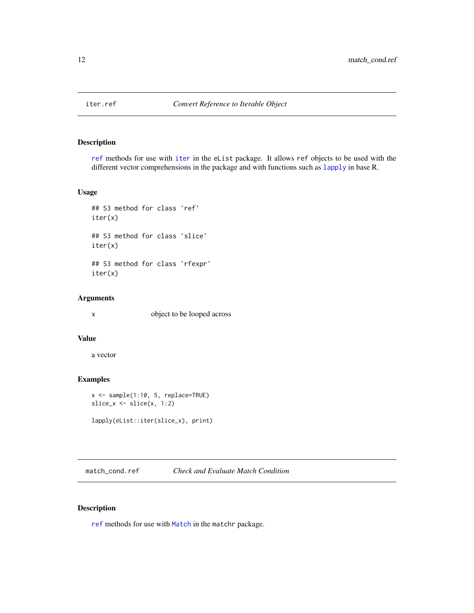<span id="page-11-0"></span>

[ref](#page-21-1) methods for use with [iter](#page-0-0) in the eList package. It allows ref objects to be used with the different vector comprehensions in the package and with functions such as [lapply](#page-0-0) in base R.

#### Usage

```
## S3 method for class 'ref'
iter(x)
## S3 method for class 'slice'
iter(x)
## S3 method for class 'rfexpr'
iter(x)
```
## Arguments

x object to be looped across

#### Value

a vector

## Examples

```
x <- sample(1:10, 5, replace=TRUE)
slice_x <- slice(x, 1:2)
```

```
lapply(eList::iter(slice_x), print)
```
match\_cond.ref *Check and Evaluate Match Condition*

## Description

[ref](#page-21-1) methods for use with [Match](#page-0-0) in the matchr package.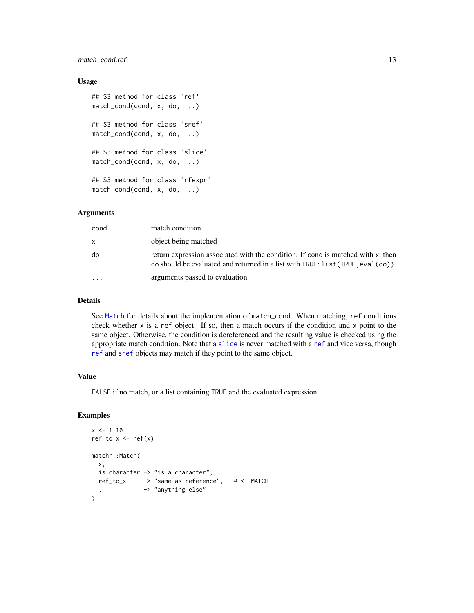## <span id="page-12-0"></span>match\_cond.ref 13

#### Usage

```
## S3 method for class 'ref'
match_cond(cond, x, do, ...)
## S3 method for class 'sref'
match_cond(cond, x, do, ...)
## S3 method for class 'slice'
match_cond(cond, x, do, ...)
## S3 method for class 'rfexpr'
match_cond(cond, x, do, ...)
```
## Arguments

| cond      | match condition                                                                                                                                                           |
|-----------|---------------------------------------------------------------------------------------------------------------------------------------------------------------------------|
| x         | object being matched                                                                                                                                                      |
| do        | return expression associated with the condition. If cond is matched with x, then<br>do should be evaluated and returned in a list with $TRUE$ : $list (TRUE, eval(do))$ . |
| $\ddotsc$ | arguments passed to evaluation                                                                                                                                            |

#### Details

See [Match](#page-0-0) for details about the implementation of match\_cond. When matching, ref conditions check whether  $x$  is a ref object. If so, then a match occurs if the condition and  $x$  point to the same object. Otherwise, the condition is dereferenced and the resulting value is checked using the appropriate match condition. Note that a [slice](#page-24-1) is never matched with a [ref](#page-21-1) and vice versa, though [ref](#page-21-1) and [sref](#page-25-1) objects may match if they point to the same object.

## Value

FALSE if no match, or a list containing TRUE and the evaluated expression

```
x \le -1:10ref\_to_x \leftarrow ref(x)matchr::Match(
 x,
  is.character -> "is a character",
  ref_to_x -> "same as reference", # <- MATCH
               . -> "anything else"
)
```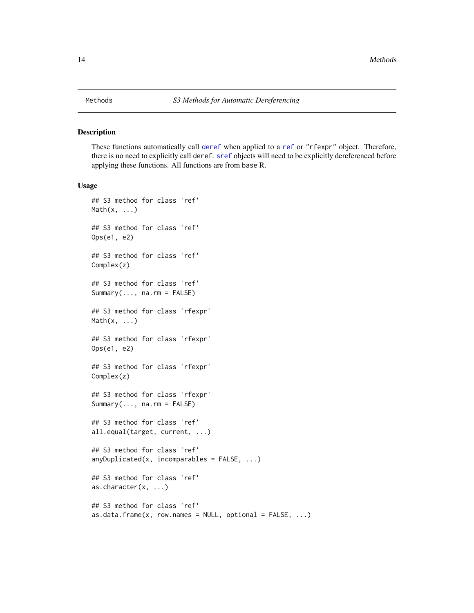<span id="page-13-1"></span><span id="page-13-0"></span>These functions automatically call [deref](#page-2-1) when applied to a [ref](#page-21-1) or "rfexpr" object. Therefore, there is no need to explicitly call deref. [sref](#page-25-1) objects will need to be explicitly dereferenced before applying these functions. All functions are from base R.

#### Usage

```
## S3 method for class 'ref'
Math(x, \ldots)## S3 method for class 'ref'
Ops(e1, e2)
## S3 method for class 'ref'
Complex(z)
## S3 method for class 'ref'
Summary(..., na.rm = FALSE)
## S3 method for class 'rfexpr'
Math(x, \ldots)## S3 method for class 'rfexpr'
Ops(e1, e2)
## S3 method for class 'rfexpr'
Complex(z)
## S3 method for class 'rfexpr'
Summary(..., na.rm = FALSE)
## S3 method for class 'ref'
all.equal(target, current, ...)
## S3 method for class 'ref'
anyDuplicated(x, incomparables = FALSE, ...)## S3 method for class 'ref'
as.character(x, ...)
## S3 method for class 'ref'
as.data.frame(x, row.names = NULL, optional = FALSE, ...)
```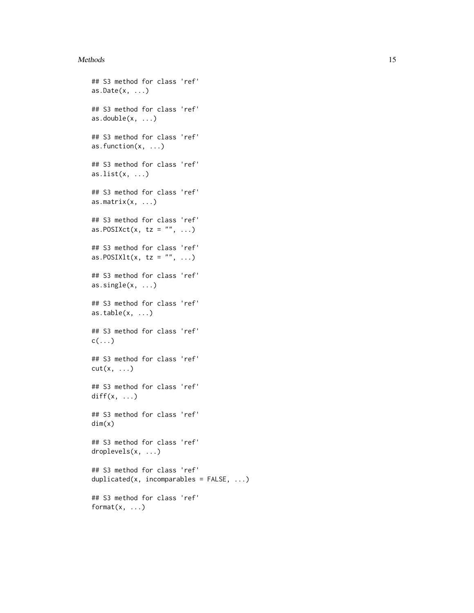#### Methods and the set of the set of the set of the set of the set of the set of the set of the set of the set of the set of the set of the set of the set of the set of the set of the set of the set of the set of the set of t

```
## S3 method for class 'ref'
as.Date(x, \ldots)## S3 method for class 'ref'
as.double(x, ...)## S3 method for class 'ref'
as.function(x, ...)
## S3 method for class 'ref'
as.list(x, \ldots)## S3 method for class 'ref'
as.matrix(x, \ldots)## S3 method for class 'ref'
as.POSIXct(x, tz = ", ...)
## S3 method for class 'ref'
as.POSIXlt(x, tz = "", ...)## S3 method for class 'ref'
as.single(x, ...)
## S3 method for class 'ref'
as.table(x, \ldots)## S3 method for class 'ref'
c(\ldots)## S3 method for class 'ref'
cut(x, \ldots)## S3 method for class 'ref'
diff(x, \ldots)## S3 method for class 'ref'
dim(x)
## S3 method for class 'ref'
droplevels(x, ...)
## S3 method for class 'ref'
duplicated(x, incomparables = FALSE, ...)
## S3 method for class 'ref'
format(x, \ldots)
```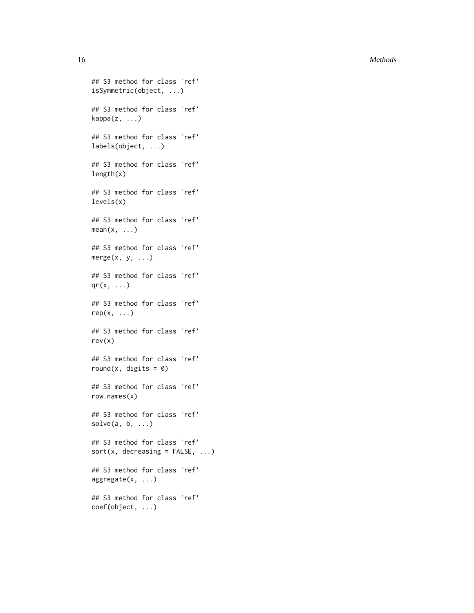16 Methods and the contract of the contract of the contract of the contract of the contract of the contract of the contract of the contract of the contract of the contract of the contract of the contract of the contract of

```
## S3 method for class 'ref'
isSymmetric(object, ...)
## S3 method for class 'ref'
kappa(z, \ldots)## S3 method for class 'ref'
labels(object, ...)
## S3 method for class 'ref'
length(x)
## S3 method for class 'ref'
levels(x)
## S3 method for class 'ref'
mean(x, \ldots)## S3 method for class 'ref'
merge(x, y, \ldots)## S3 method for class 'ref'
qr(x, \ldots)## S3 method for class 'ref'
rep(x, \ldots)## S3 method for class 'ref'
rev(x)
## S3 method for class 'ref'
round(x, digits = \emptyset)
## S3 method for class 'ref'
row.names(x)
## S3 method for class 'ref'
solve(a, b, ...)## S3 method for class 'ref'
sort(x, decreasing = FALSE, ...)## S3 method for class 'ref'
aggregate(x, ...)
## S3 method for class 'ref'
coef(object, ...)
```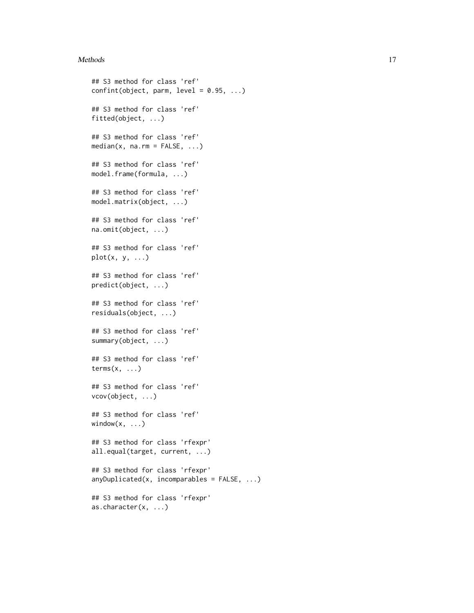#### Methods and the contract of the contract of the contract of the contract of the contract of the contract of the contract of the contract of the contract of the contract of the contract of the contract of the contract of th

```
## S3 method for class 'ref'
confint(object, parm, level = 0.95, ...)## S3 method for class 'ref'
fitted(object, ...)
## S3 method for class 'ref'
median(x, na.rm = FALSE, ...)## S3 method for class 'ref'
model.frame(formula, ...)
## S3 method for class 'ref'
model.matrix(object, ...)
## S3 method for class 'ref'
na.omit(object, ...)
## S3 method for class 'ref'
plot(x, y, \ldots)## S3 method for class 'ref'
predict(object, ...)
## S3 method for class 'ref'
residuals(object, ...)
## S3 method for class 'ref'
summary(object, ...)
## S3 method for class 'ref'
terms(x, \ldots)## S3 method for class 'ref'
vcov(object, ...)
## S3 method for class 'ref'
window(x, \ldots)## S3 method for class 'rfexpr'
all.equal(target, current, ...)
## S3 method for class 'rfexpr'
anyDuplicated(x, incomparables = FALSE, ...)## S3 method for class 'rfexpr'
as.character(x, ...)
```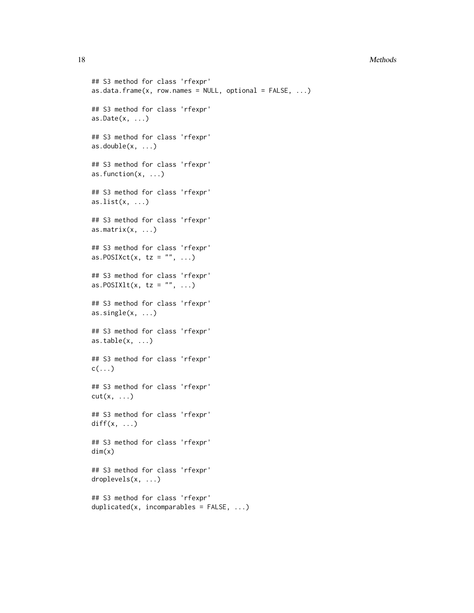#### 18 Methods and the contract of the contract of the contract of the contract of the contract of the contract of the contract of the contract of the contract of the contract of the contract of the contract of the contract of

```
## S3 method for class 'rfexpr'
as.data.frame(x, row.names = NULL, optional = FALSE, ...)
## S3 method for class 'rfexpr'
as. Date(x, ...)## S3 method for class 'rfexpr'
as.double(x, ...)## S3 method for class 'rfexpr'
as.function(x, ...)
## S3 method for class 'rfexpr'
as.list(x, \ldots)## S3 method for class 'rfexpr'
as.matrix(x, \ldots)## S3 method for class 'rfexpr'
as.POSIXct(x, tz = "", ...)## S3 method for class 'rfexpr'
as.POSIXlt(x, tz = "", ...)## S3 method for class 'rfexpr'
\text{as}.\text{single}(x, \ldots)## S3 method for class 'rfexpr'
as.table(x, \ldots)## S3 method for class 'rfexpr'
c(\ldots)## S3 method for class 'rfexpr'
cut(x, \ldots)## S3 method for class 'rfexpr'
diff(x, \ldots)## S3 method for class 'rfexpr'
dim(x)
## S3 method for class 'rfexpr'
droplevels(x, ...)
## S3 method for class 'rfexpr'
duplicated(x, incomparables = FALSE, ...)
```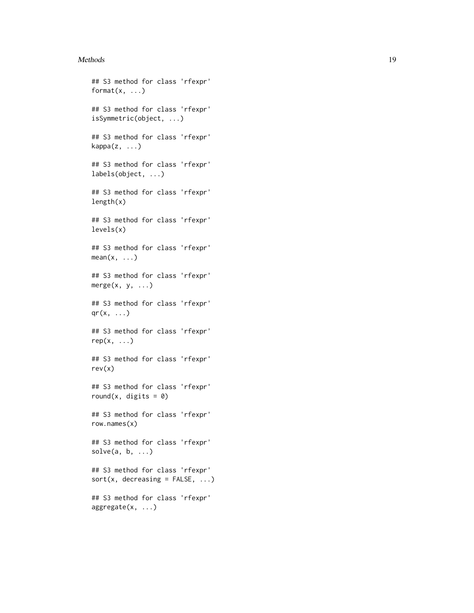#### Methods and the contract of the contract of the contract of the contract of the contract of the contract of the contract of the contract of the contract of the contract of the contract of the contract of the contract of th

```
## S3 method for class 'rfexpr'
format(x, \ldots)## S3 method for class 'rfexpr'
isSymmetric(object, ...)
## S3 method for class 'rfexpr'
kappa(z, \ldots)## S3 method for class 'rfexpr'
labels(object, ...)
## S3 method for class 'rfexpr'
length(x)
## S3 method for class 'rfexpr'
levels(x)
## S3 method for class 'rfexpr'
mean(x, \ldots)## S3 method for class 'rfexpr'
merge(x, y, ...)## S3 method for class 'rfexpr'
qr(x, \ldots)## S3 method for class 'rfexpr'
rep(x, \ldots)## S3 method for class 'rfexpr'
rev(x)
## S3 method for class 'rfexpr'
round(x, digits = \theta)
## S3 method for class 'rfexpr'
row.names(x)
## S3 method for class 'rfexpr'
solve(a, b, \ldots)## S3 method for class 'rfexpr'
sort(x, decreasing = FALSE, ...)## S3 method for class 'rfexpr'
aggregate(x, ...)
```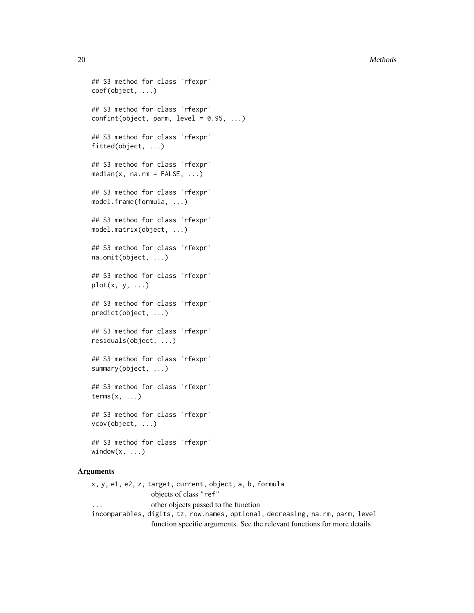#### 20 Methods and the contract of the contract of the contract of the contract of the contract of the contract of the contract of the contract of the contract of the contract of the contract of the contract of the contract of

```
## S3 method for class 'rfexpr'
coef(object, ...)
## S3 method for class 'rfexpr'
confint(object, parm, level = 0.95, ...)## S3 method for class 'rfexpr'
fitted(object, ...)
## S3 method for class 'rfexpr'
median(x, na.rm = FALSE, ...)## S3 method for class 'rfexpr'
model.frame(formula, ...)
## S3 method for class 'rfexpr'
model.matrix(object, ...)
## S3 method for class 'rfexpr'
na.omit(object, ...)
## S3 method for class 'rfexpr'
plot(x, y, ...)## S3 method for class 'rfexpr'
predict(object, ...)
## S3 method for class 'rfexpr'
residuals(object, ...)
## S3 method for class 'rfexpr'
summary(object, ...)
## S3 method for class 'rfexpr'
terms(x, \ldots)## S3 method for class 'rfexpr'
vcov(object, ...)
## S3 method for class 'rfexpr'
```
## Arguments

window $(x, \ldots)$ 

x, y, e1, e2, z, target, current, object, a, b, formula objects of class "ref" other objects passed to the function incomparables, digits, tz, row.names, optional, decreasing, na.rm, parm, level function specific arguments. See the relevant functions for more details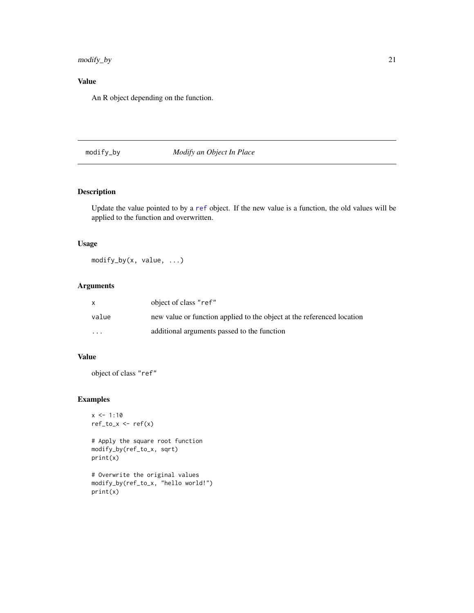## <span id="page-20-0"></span>modify\_by 21

## Value

An R object depending on the function.

## <span id="page-20-1"></span>modify\_by *Modify an Object In Place*

## Description

Update the value pointed to by a [ref](#page-21-1) object. If the new value is a function, the old values will be applied to the function and overwritten.

## Usage

modify\_by(x, value, ...)

## Arguments

| $\mathsf{x}$            | object of class "ref"                                                  |
|-------------------------|------------------------------------------------------------------------|
| value                   | new value or function applied to the object at the referenced location |
| $\cdot$ $\cdot$ $\cdot$ | additional arguments passed to the function                            |

## Value

object of class "ref"

## Examples

```
x \le -1:10ref\_to_x \leftarrow ref(x)
```
# Apply the square root function modify\_by(ref\_to\_x, sqrt) print(x)

# Overwrite the original values modify\_by(ref\_to\_x, "hello world!") print(x)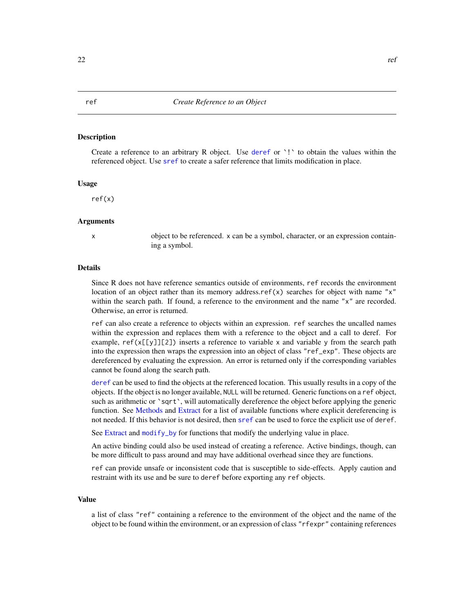<span id="page-21-1"></span><span id="page-21-0"></span>Create a reference to an arbitrary R object. Use [deref](#page-2-1) or  $\cdot$ ! to obtain the values within the referenced object. Use [sref](#page-25-1) to create a safer reference that limits modification in place.

#### Usage

ref(x)

## Arguments

x object to be referenced. x can be a symbol, character, or an expression containing a symbol.

#### Details

Since R does not have reference semantics outside of environments, ref records the environment location of an object rather than its memory address.ref(x) searches for object with name " $x$ " within the search path. If found, a reference to the environment and the name "x" are recorded. Otherwise, an error is returned.

ref can also create a reference to objects within an expression. ref searches the uncalled names within the expression and replaces them with a reference to the object and a call to deref. For example,  $ref(x[[y]][2])$  inserts a reference to variable x and variable y from the search path into the expression then wraps the expression into an object of class "ref\_exp". These objects are dereferenced by evaluating the expression. An error is returned only if the corresponding variables cannot be found along the search path.

[deref](#page-2-1) can be used to find the objects at the referenced location. This usually results in a copy of the objects. If the object is no longer available, NULL will be returned. Generic functions on a ref object, such as arithmetic or 'sqrt', will automatically dereference the object before applying the generic function. See [Methods](#page-13-1) and [Extract](#page-4-1) for a list of available functions where explicit dereferencing is not needed. If this behavior is not desired, then [sref](#page-25-1) can be used to force the explicit use of deref.

See [Extract](#page-4-1) and [modify\\_by](#page-20-1) for functions that modify the underlying value in place.

An active binding could also be used instead of creating a reference. Active bindings, though, can be more difficult to pass around and may have additional overhead since they are functions.

ref can provide unsafe or inconsistent code that is susceptible to side-effects. Apply caution and restraint with its use and be sure to deref before exporting any ref objects.

#### Value

a list of class "ref" containing a reference to the environment of the object and the name of the object to be found within the environment, or an expression of class "rfexpr" containing references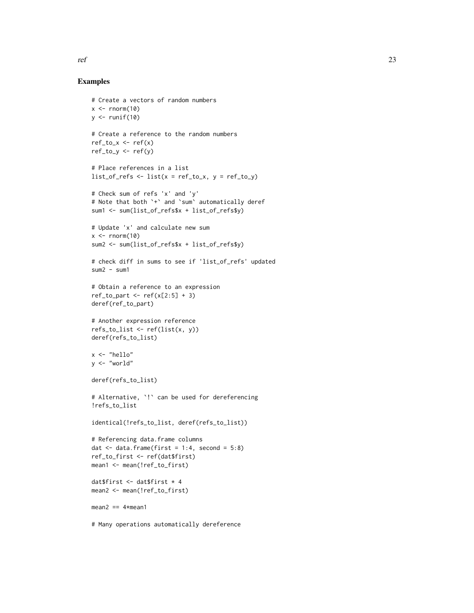#### Examples

```
# Create a vectors of random numbers
x \leq -rnorm(10)y \leftarrow runif(10)# Create a reference to the random numbers
ref_to_x \leftarrow ref(x)ref_to_y <- ref(y)
# Place references in a list
list_of_refs \leftarrow list(x = ref_to_x, y = ref_to_y)# Check sum of refs 'x' and 'y'
# Note that both `+` and `sum` automatically deref
sum1 <- sum(list_of_refs$x + list_of_refs$y)
# Update 'x' and calculate new sum
x \le - rnorm(10)
sum2 <- sum(list_of_refs$x + list_of_refs$y)
# check diff in sums to see if 'list_of_refs' updated
sum2 - sum1# Obtain a reference to an expression
ref_to_part \leftarrow ref(x[2:5] + 3)deref(ref_to_part)
# Another expression reference
refs_to_list <- ref(list(x, y))
deref(refs_to_list)
x <- "hello"
y <- "world"
deref(refs_to_list)
# Alternative, `!` can be used for dereferencing
!refs_to_list
identical(!refs_to_list, deref(refs_to_list))
# Referencing data.frame columns
dat \le data.frame(first = 1:4, second = 5:8)
ref_to_first <- ref(dat$first)
mean1 <- mean(!ref_to_first)
dat$first <- dat$first * 4
mean2 <- mean(!ref_to_first)
mean2 == 4*mean1# Many operations automatically dereference
```
ref 23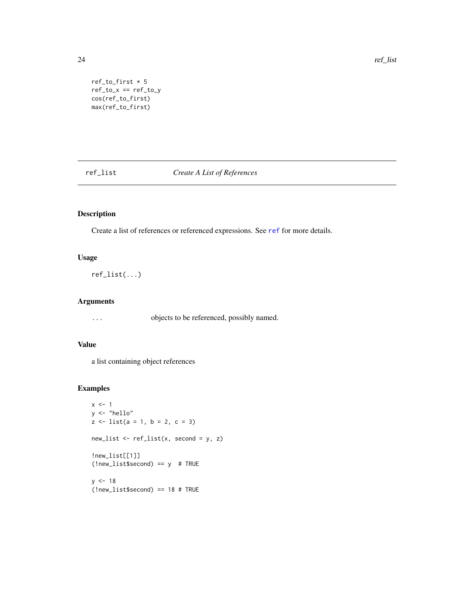<span id="page-23-0"></span>24 ref\_list

```
ref\_to\_first * 5ref\_to_x == ref\_to_ycos(ref_to_first)
max(ref_to_first)
```
ref\_list *Create A List of References*

## Description

Create a list of references or referenced expressions. See [ref](#page-21-1) for more details.

#### Usage

ref\_list(...)

## Arguments

... objects to be referenced, possibly named.

## Value

a list containing object references

```
x \le -1y <- "hello"
z \le - list(a = 1, b = 2, c = 3)
new_list <- ref_list(x, second = y, z)
!new_list[[1]]
(!new_list$second) == y # TRUE
y < -18(!new_list$second) == 18 # TRUE
```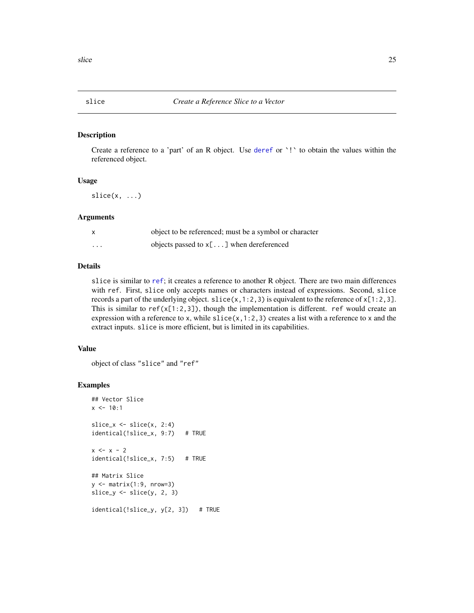<span id="page-24-1"></span><span id="page-24-0"></span>

Create a reference to a 'part' of an R object. Use [deref](#page-2-1) or `!` to obtain the values within the referenced object.

#### Usage

 $slice(x, \ldots)$ 

## Arguments

|          | object to be referenced; must be a symbol or character |
|----------|--------------------------------------------------------|
| $\cdots$ | objects passed to $x$ [] when dereferenced             |

## Details

slice is similar to [ref](#page-21-1); it creates a reference to another R object. There are two main differences with ref. First, slice only accepts names or characters instead of expressions. Second, slice records a part of the underlying object. slice(x,1:2,3) is equivalent to the reference of  $x[1:2,3]$ . This is similar to ref( $x[1:2,3]$ ), though the implementation is different. ref would create an expression with a reference to x, while  $slice(x, 1:2, 3)$  creates a list with a reference to x and the extract inputs. slice is more efficient, but is limited in its capabilities.

## Value

```
object of class "slice" and "ref"
```

```
## Vector Slice
x \le -10:1slice_x \leftarrow slice(x, 2:4)
identical(!slice_x, 9:7) # TRUE
x < - x - 2identical(!slice_x, 7:5) # TRUE
## Matrix Slice
y \leftarrow matrix(1:9, nrow=3)slice_y \leftarrow slice(y, 2, 3)
identical(!slice_y, y[2, 3]) # TRUE
```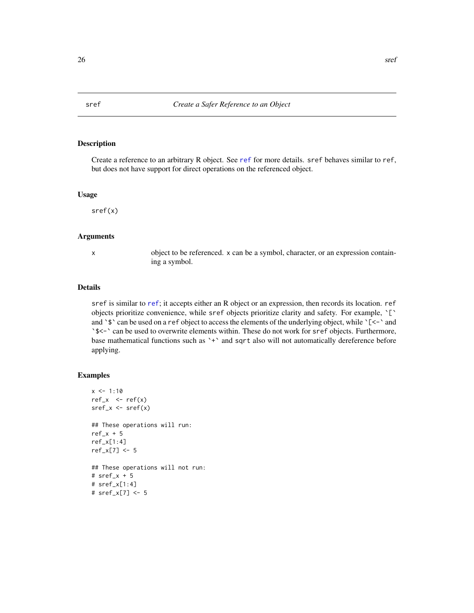Create a reference to an arbitrary R object. See [ref](#page-21-1) for more details. sref behaves similar to ref, but does not have support for direct operations on the referenced object.

#### Usage

sref(x)

### Arguments

x object to be referenced. x can be a symbol, character, or an expression containing a symbol.

## Details

sref is similar to [ref](#page-21-1); it accepts either an R object or an expression, then records its location. ref objects prioritize convenience, while sref objects prioritize clarity and safety. For example, `[` and  $\sqrt{s}$  can be used on a ref object to access the elements of the underlying object, while  $\sqrt{\zeta-1}$  and `\$<-` can be used to overwrite elements within. These do not work for sref objects. Furthermore, base mathematical functions such as `+` and sqrt also will not automatically dereference before applying.

```
x \le -1:10ref_x < -ref(x)sref_x \leftarrow sref(x)## These operations will run:
ref_x + 5ref_x[1:4]
ref_x[7] <- 5
## These operations will not run:
# sref_x + 5
# sref_x[1:4]
# sref_x[7] <- 5
```
<span id="page-25-1"></span><span id="page-25-0"></span>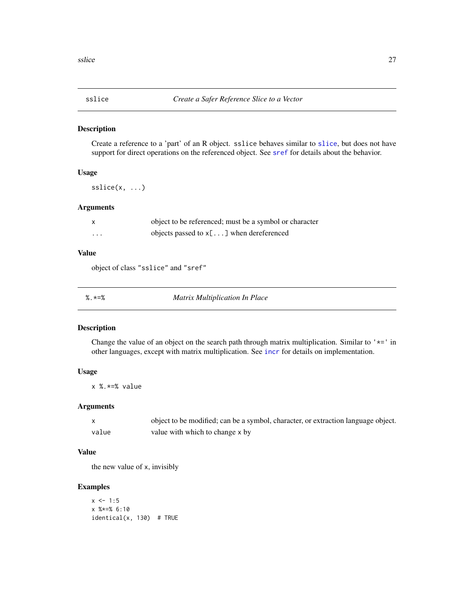<span id="page-26-0"></span>

Create a reference to a 'part' of an R object. sslice behaves similar to [slice](#page-24-1), but does not have support for direct operations on the referenced object. See [sref](#page-25-1) for details about the behavior.

## Usage

sslice(x, ...)

## Arguments

|   | object to be referenced; must be a symbol or character |
|---|--------------------------------------------------------|
| . | objects passed to $x$ [] when dereferenced             |

#### Value

object of class "sslice" and "sref"

| <b>Matrix Multiplication In Place</b><br>%.∗=% |
|------------------------------------------------|
|------------------------------------------------|

## Description

Change the value of an object on the search path through matrix multiplication. Similar to  $'$ \*=' in other languages, except with matrix multiplication. See [incr](#page-8-1) for details on implementation.

#### Usage

x %.\*=% value

#### Arguments

|       | object to be modified; can be a symbol, character, or extraction language object. |
|-------|-----------------------------------------------------------------------------------|
| value | value with which to change x by                                                   |

## Value

the new value of x, invisibly

## Examples

 $x \le -1:5$ x %\*=% 6:10 identical(x, 130) # TRUE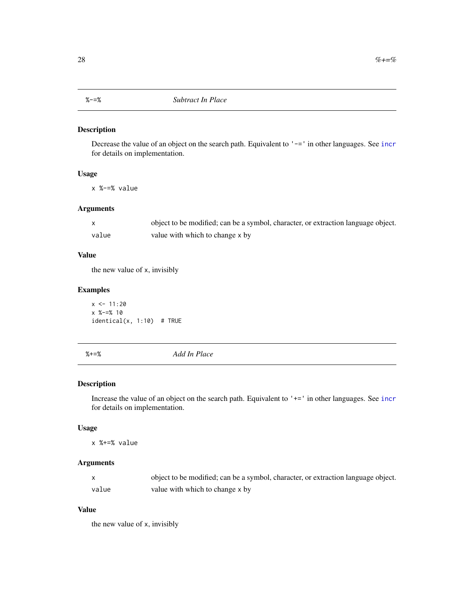<span id="page-27-0"></span>

Decrease the value of an object on the search path. Equivalent to '-=' in other languages. See [incr](#page-8-1) for details on implementation.

## Usage

x %-=% value

## Arguments

|       | object to be modified; can be a symbol, character, or extraction language object. |
|-------|-----------------------------------------------------------------------------------|
| value | value with which to change x by                                                   |

## Value

the new value of x, invisibly

## Examples

 $x \le -11:20$ x %-=% 10  $identical(x, 1:10)$  # TRUE

%+=% *Add In Place*

## Description

Increase the value of an object on the search path. Equivalent to '+=' in other languages. See [incr](#page-8-1) for details on implementation.

## Usage

x %+=% value

## Arguments

|       | object to be modified; can be a symbol, character, or extraction language object. |
|-------|-----------------------------------------------------------------------------------|
| value | value with which to change x by                                                   |

### Value

the new value of x, invisibly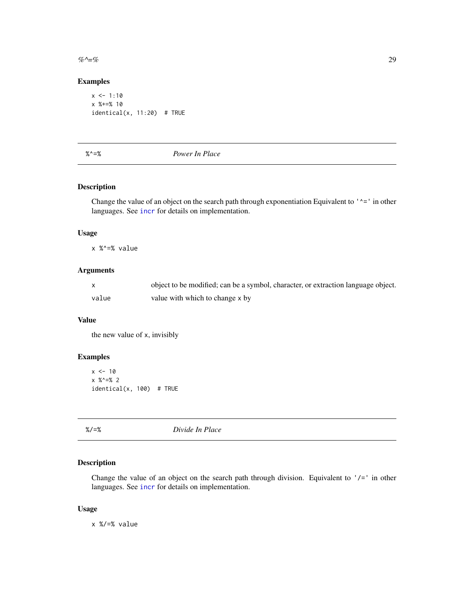<span id="page-28-0"></span> $\%$ ^=% 29

## Examples

```
x \le -1:10x %+=% 10
identical(x, 11:20) # TRUE
```
%^=% *Power In Place*

## Description

Change the value of an object on the search path through exponentiation Equivalent to  $'$   $\sim$ =' in other languages. See [incr](#page-8-1) for details on implementation.

#### Usage

x %^=% value

## Arguments

|       | object to be modified; can be a symbol, character, or extraction language object. |
|-------|-----------------------------------------------------------------------------------|
| value | value with which to change x by                                                   |

## Value

the new value of x, invisibly

## Examples

```
x < -10x %^=% 2
identical(x, 100) # TRUE
```
%/=% *Divide In Place*

## Description

Change the value of an object on the search path through division. Equivalent to  $\frac{1}{e}$  in other languages. See [incr](#page-8-1) for details on implementation.

#### Usage

x %/=% value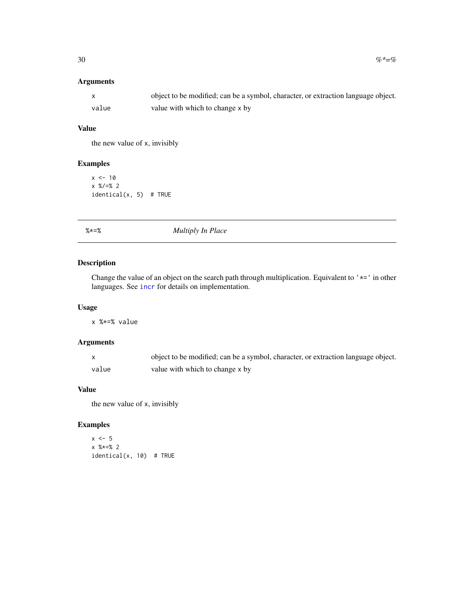## <span id="page-29-0"></span>Arguments

|       | object to be modified; can be a symbol, character, or extraction language object. |
|-------|-----------------------------------------------------------------------------------|
| value | value with which to change x by                                                   |

## Value

the new value of x, invisibly

## Examples

```
x < -10x %/=% 2
identical(x, 5) # TRUE
```
%\*=% *Multiply In Place*

## Description

Change the value of an object on the search path through multiplication. Equivalent to '\*=' in other languages. See [incr](#page-8-1) for details on implementation.

#### Usage

x %\*=% value

## Arguments

|       | object to be modified; can be a symbol, character, or extraction language object. |
|-------|-----------------------------------------------------------------------------------|
| value | value with which to change x by                                                   |

## Value

the new value of x, invisibly

```
x \le -5x %*=% 2
identical(x, 10) # TRUE
```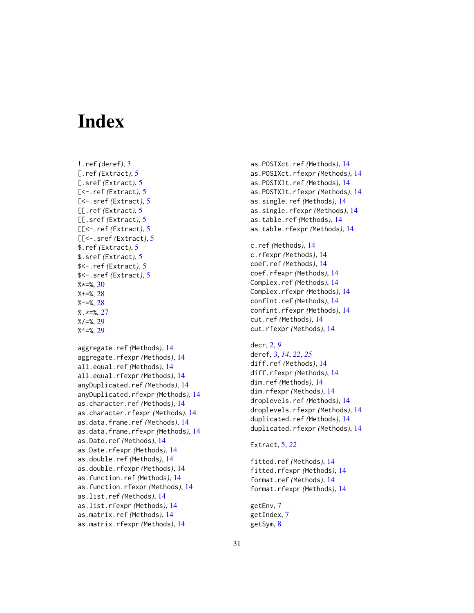# <span id="page-30-0"></span>**Index**

```
!.ref (deref), 3
[.ref (Extract), 5
[.sref (Extract), 5
[<-.ref (Extract), 5
[<-.sref (Extract), 5
[[.ref (Extract), 5
[[.sref (Extract), 5
[[<-.ref (Extract), 5
[[<-.sref (Extract), 5
$.ref (Extract), 5
$.sref (Extract), 5
$<-.ref (Extract), 5
$<-.sref (Extract), 5
% \star = \frac{1}{6}30
2828%. *=27
\frac{\%}{\approx}29
%^{\sim}=29
```

```
aggregate.ref (Methods), 14
aggregate.rfexpr (Methods), 14
all.equal.ref (Methods), 14
all.equal.rfexpr (Methods), 14
anyDuplicated.ref (Methods), 14
anyDuplicated.rfexpr (Methods), 14
as.character.ref (Methods), 14
as.character.rfexpr (Methods), 14
as.data.frame.ref (Methods), 14
as.data.frame.rfexpr (Methods), 14
as.Date.ref (Methods), 14
as.Date.rfexpr (Methods), 14
as.double.ref (Methods), 14
as.double.rfexpr (Methods), 14
as.function.ref (Methods), 14
as.function.rfexpr (Methods), 14
as.list.ref (Methods), 14
as.list.rfexpr (Methods), 14
as.matrix.ref (Methods), 14
as.matrix.rfexpr (Methods), 14
```
as.POSIXct.ref *(*Methods*)*, [14](#page-13-0) as.POSIXct.rfexpr *(*Methods*)*, [14](#page-13-0) as.POSIXlt.ref *(*Methods*)*, [14](#page-13-0) as.POSIXlt.rfexpr *(*Methods*)*, [14](#page-13-0) as.single.ref *(*Methods*)*, [14](#page-13-0) as.single.rfexpr *(*Methods*)*, [14](#page-13-0) as.table.ref *(*Methods*)*, [14](#page-13-0) as.table.rfexpr *(*Methods*)*, [14](#page-13-0)

c.ref *(*Methods*)*, [14](#page-13-0) c.rfexpr *(*Methods*)*, [14](#page-13-0) coef.ref *(*Methods*)*, [14](#page-13-0) coef.rfexpr *(*Methods*)*, [14](#page-13-0) Complex.ref *(*Methods*)*, [14](#page-13-0) Complex.rfexpr *(*Methods*)*, [14](#page-13-0) confint.ref *(*Methods*)*, [14](#page-13-0) confint.rfexpr *(*Methods*)*, [14](#page-13-0) cut.ref *(*Methods*)*, [14](#page-13-0) cut.rfexpr *(*Methods*)*, [14](#page-13-0)

```
decr, 2, 9
deref, 3, 14, 22, 25
diff.ref (Methods), 14
diff.rfexpr (Methods), 14
dim.ref (Methods), 14
dim.rfexpr (Methods), 14
droplevels.ref (Methods), 14
droplevels.rfexpr (Methods), 14
duplicated.ref (Methods), 14
duplicated.rfexpr (Methods), 14
```
## Extract, [5,](#page-4-0) *[22](#page-21-0)*

```
fitted.ref (Methods), 14
fitted.rfexpr (Methods), 14
format.ref (Methods), 14
format.rfexpr (Methods), 14
```

```
getEnv, 7
getIndex, 7
getSym, 8
```